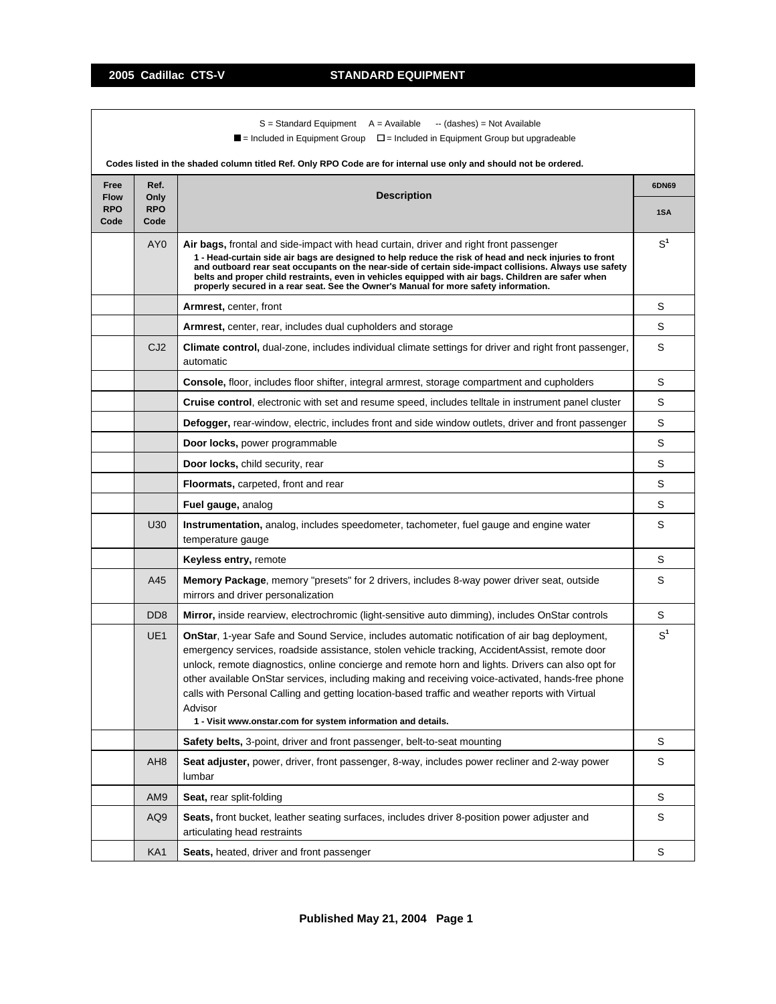$S =$  Standard Equipment  $A =$  Available  $-$  (dashes) = Not Available

 $\blacksquare$  = Included in Equipment Group  $\blacksquare$  = Included in Equipment Group but upgradeable

|                                           |                                    | Codes listed in the shaded column titled Ref. Only RPO Code are for internal use only and should not be ordered.                                                                                                                                                                                                                                                                                                                                                                                                                                                                              |                |
|-------------------------------------------|------------------------------------|-----------------------------------------------------------------------------------------------------------------------------------------------------------------------------------------------------------------------------------------------------------------------------------------------------------------------------------------------------------------------------------------------------------------------------------------------------------------------------------------------------------------------------------------------------------------------------------------------|----------------|
| Free<br><b>Flow</b><br><b>RPO</b><br>Code | Ref.<br>Only<br><b>RPO</b><br>Code | <b>Description</b>                                                                                                                                                                                                                                                                                                                                                                                                                                                                                                                                                                            | 6DN69<br>1SA   |
|                                           | AY <sub>0</sub>                    | Air bags, frontal and side-impact with head curtain, driver and right front passenger<br>1 - Head-curtain side air bags are designed to help reduce the risk of head and neck injuries to front<br>and outboard rear seat occupants on the near-side of certain side-impact collisions. Always use safety<br>belts and proper child restraints, even in vehicles equipped with air bags. Children are safer when<br>properly secured in a rear seat. See the Owner's Manual for more safety information.                                                                                      | S <sup>1</sup> |
|                                           |                                    | <b>Armrest, center, front</b>                                                                                                                                                                                                                                                                                                                                                                                                                                                                                                                                                                 | S              |
|                                           |                                    | <b>Armrest, center, rear, includes dual cupholders and storage</b>                                                                                                                                                                                                                                                                                                                                                                                                                                                                                                                            | S              |
|                                           | CJ <sub>2</sub>                    | Climate control, dual-zone, includes individual climate settings for driver and right front passenger,<br>automatic                                                                                                                                                                                                                                                                                                                                                                                                                                                                           | S              |
|                                           |                                    | <b>Console, floor, includes floor shifter, integral armrest, storage compartment and cupholders</b>                                                                                                                                                                                                                                                                                                                                                                                                                                                                                           | S              |
|                                           |                                    | Cruise control, electronic with set and resume speed, includes telltale in instrument panel cluster                                                                                                                                                                                                                                                                                                                                                                                                                                                                                           | S              |
|                                           |                                    | Defogger, rear-window, electric, includes front and side window outlets, driver and front passenger                                                                                                                                                                                                                                                                                                                                                                                                                                                                                           | S              |
|                                           |                                    | Door locks, power programmable                                                                                                                                                                                                                                                                                                                                                                                                                                                                                                                                                                | S              |
|                                           |                                    | Door locks, child security, rear                                                                                                                                                                                                                                                                                                                                                                                                                                                                                                                                                              | S              |
|                                           |                                    | <b>Floormats, carpeted, front and rear</b>                                                                                                                                                                                                                                                                                                                                                                                                                                                                                                                                                    | S              |
|                                           |                                    | Fuel gauge, analog                                                                                                                                                                                                                                                                                                                                                                                                                                                                                                                                                                            | S              |
|                                           | U30                                | <b>Instrumentation,</b> analog, includes speedometer, tachometer, fuel gauge and engine water<br>temperature gauge                                                                                                                                                                                                                                                                                                                                                                                                                                                                            | S              |
|                                           |                                    | Keyless entry, remote                                                                                                                                                                                                                                                                                                                                                                                                                                                                                                                                                                         | S              |
|                                           | A45                                | Memory Package, memory "presets" for 2 drivers, includes 8-way power driver seat, outside<br>mirrors and driver personalization                                                                                                                                                                                                                                                                                                                                                                                                                                                               | S              |
|                                           | D <sub>D</sub> <sub>8</sub>        | <b>Mirror</b> , inside rearview, electrochromic (light-sensitive auto dimming), includes OnStar controls                                                                                                                                                                                                                                                                                                                                                                                                                                                                                      | $\mathbb S$    |
|                                           | UE <sub>1</sub>                    | <b>OnStar, 1-year Safe and Sound Service, includes automatic notification of air bag deployment,</b><br>emergency services, roadside assistance, stolen vehicle tracking, AccidentAssist, remote door<br>unlock, remote diagnostics, online concierge and remote horn and lights. Drivers can also opt for<br>other available OnStar services, including making and receiving voice-activated, hands-free phone<br>calls with Personal Calling and getting location-based traffic and weather reports with Virtual<br>Advisor<br>1 - Visit www.onstar.com for system information and details. | S <sup>1</sup> |
|                                           |                                    | Safety belts, 3-point, driver and front passenger, belt-to-seat mounting                                                                                                                                                                                                                                                                                                                                                                                                                                                                                                                      | S              |
|                                           | AH <sub>8</sub>                    | Seat adjuster, power, driver, front passenger, 8-way, includes power recliner and 2-way power<br>lumbar                                                                                                                                                                                                                                                                                                                                                                                                                                                                                       | S              |
|                                           | AM9                                | Seat, rear split-folding                                                                                                                                                                                                                                                                                                                                                                                                                                                                                                                                                                      | S              |
|                                           | AQ9                                | Seats, front bucket, leather seating surfaces, includes driver 8-position power adjuster and<br>articulating head restraints                                                                                                                                                                                                                                                                                                                                                                                                                                                                  | S              |
|                                           | KA <sub>1</sub>                    | Seats, heated, driver and front passenger                                                                                                                                                                                                                                                                                                                                                                                                                                                                                                                                                     | S              |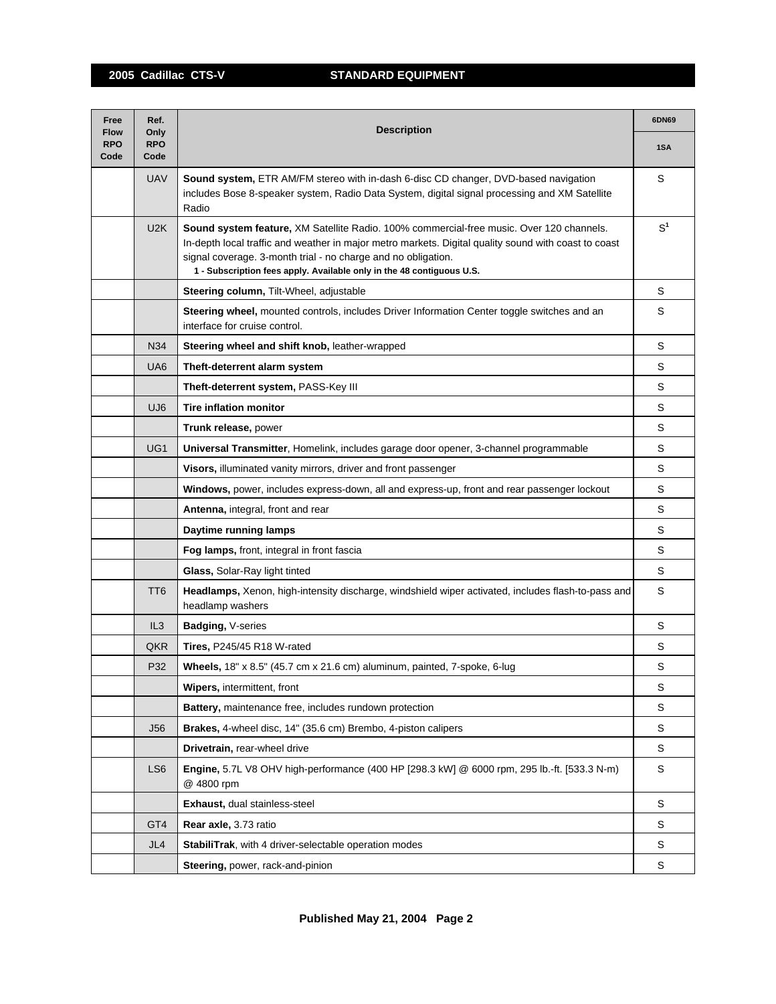| Free<br><b>Flow</b> | Ref.<br>Only       | <b>Description</b>                                                                                                                                                                                                                                                                                                                         |                |
|---------------------|--------------------|--------------------------------------------------------------------------------------------------------------------------------------------------------------------------------------------------------------------------------------------------------------------------------------------------------------------------------------------|----------------|
| <b>RPO</b><br>Code  | <b>RPO</b><br>Code |                                                                                                                                                                                                                                                                                                                                            | 1SA            |
|                     | <b>UAV</b>         | Sound system, ETR AM/FM stereo with in-dash 6-disc CD changer, DVD-based navigation<br>includes Bose 8-speaker system, Radio Data System, digital signal processing and XM Satellite<br>Radio                                                                                                                                              | S              |
|                     | U2K                | Sound system feature, XM Satellite Radio. 100% commercial-free music. Over 120 channels.<br>In-depth local traffic and weather in major metro markets. Digital quality sound with coast to coast<br>signal coverage. 3-month trial - no charge and no obligation.<br>1 - Subscription fees apply. Available only in the 48 contiguous U.S. | S <sup>1</sup> |
|                     |                    | Steering column, Tilt-Wheel, adjustable                                                                                                                                                                                                                                                                                                    | S              |
|                     |                    | Steering wheel, mounted controls, includes Driver Information Center toggle switches and an<br>interface for cruise control.                                                                                                                                                                                                               | S              |
|                     | N34                | Steering wheel and shift knob, leather-wrapped                                                                                                                                                                                                                                                                                             | S              |
|                     | UA <sub>6</sub>    | Theft-deterrent alarm system                                                                                                                                                                                                                                                                                                               | S              |
|                     |                    | Theft-deterrent system, PASS-Key III                                                                                                                                                                                                                                                                                                       | S              |
|                     | UJ <sub>6</sub>    | <b>Tire inflation monitor</b>                                                                                                                                                                                                                                                                                                              | S              |
|                     |                    | Trunk release, power                                                                                                                                                                                                                                                                                                                       | S              |
|                     | UG <sub>1</sub>    | Universal Transmitter, Homelink, includes garage door opener, 3-channel programmable                                                                                                                                                                                                                                                       | S              |
|                     |                    | Visors, illuminated vanity mirrors, driver and front passenger                                                                                                                                                                                                                                                                             | S              |
|                     |                    | Windows, power, includes express-down, all and express-up, front and rear passenger lockout                                                                                                                                                                                                                                                | S              |
|                     |                    | Antenna, integral, front and rear                                                                                                                                                                                                                                                                                                          | S              |
|                     |                    | Daytime running lamps                                                                                                                                                                                                                                                                                                                      | S              |
|                     |                    | Fog lamps, front, integral in front fascia                                                                                                                                                                                                                                                                                                 | S              |
|                     |                    | <b>Glass, Solar-Ray light tinted</b>                                                                                                                                                                                                                                                                                                       | S              |
|                     | TT <sub>6</sub>    | Headlamps, Xenon, high-intensity discharge, windshield wiper activated, includes flash-to-pass and<br>headlamp washers                                                                                                                                                                                                                     | S              |
|                     | IL3                | Badging, V-series                                                                                                                                                                                                                                                                                                                          | S              |
|                     | QKR                | <b>Tires, P245/45 R18 W-rated</b>                                                                                                                                                                                                                                                                                                          | S              |
|                     | P32                | Wheels, 18" x 8.5" (45.7 cm x 21.6 cm) aluminum, painted, 7-spoke, 6-lug                                                                                                                                                                                                                                                                   | S              |
|                     |                    | Wipers, intermittent, front                                                                                                                                                                                                                                                                                                                | S              |
|                     |                    | Battery, maintenance free, includes rundown protection                                                                                                                                                                                                                                                                                     | S              |
|                     | <b>J56</b>         | <b>Brakes, 4-wheel disc, 14" (35.6 cm) Brembo, 4-piston calipers</b>                                                                                                                                                                                                                                                                       | S              |
|                     |                    | Drivetrain, rear-wheel drive                                                                                                                                                                                                                                                                                                               | S              |
|                     | LS <sub>6</sub>    | Engine, 5.7L V8 OHV high-performance (400 HP [298.3 kW] @ 6000 rpm, 295 lb.-ft. [533.3 N-m)<br>@ 4800 rpm                                                                                                                                                                                                                                  | S              |
|                     |                    | Exhaust, dual stainless-steel                                                                                                                                                                                                                                                                                                              | S              |
|                     | GT4                | Rear axle, 3.73 ratio                                                                                                                                                                                                                                                                                                                      | S              |
|                     | JL4                | StabiliTrak, with 4 driver-selectable operation modes                                                                                                                                                                                                                                                                                      | S              |
|                     |                    | Steering, power, rack-and-pinion                                                                                                                                                                                                                                                                                                           | S              |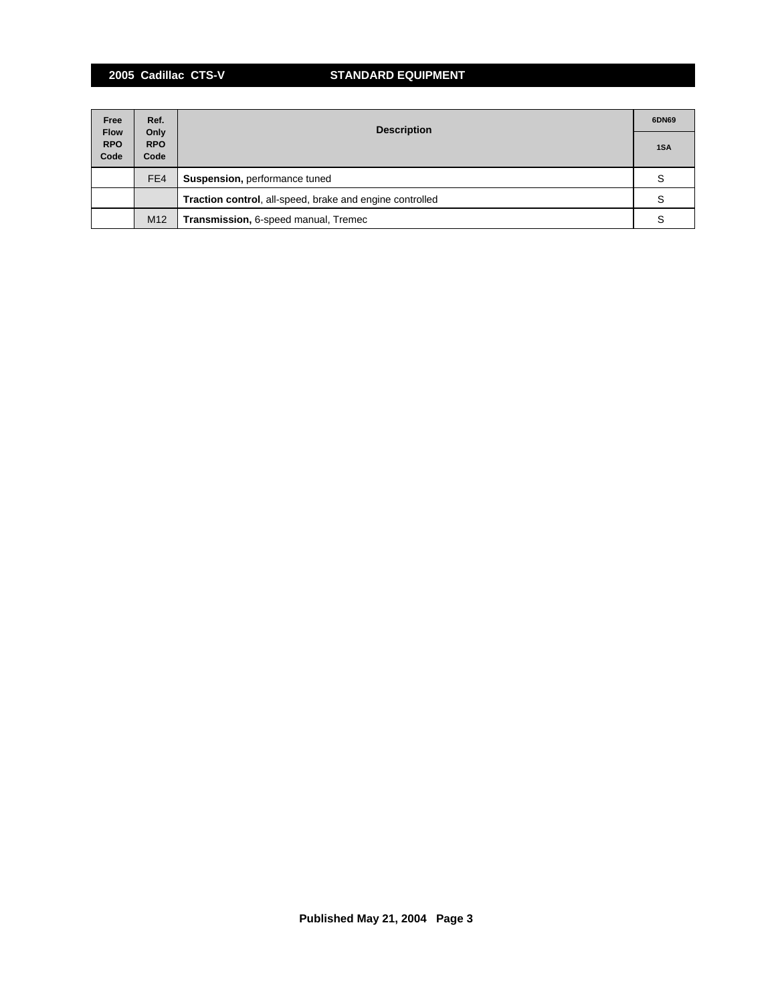# **2005 Cadillac CTS-V STANDARD EQUIPMENT**

| Free                              | Ref.                       | <b>Description</b>                                              | 6DN69 |
|-----------------------------------|----------------------------|-----------------------------------------------------------------|-------|
| <b>Flow</b><br><b>RPO</b><br>Code | Only<br><b>RPO</b><br>Code |                                                                 |       |
|                                   | FE4                        | <b>Suspension, performance tuned</b>                            |       |
|                                   |                            | <b>Traction control, all-speed, brake and engine controlled</b> | S     |
|                                   | M <sub>12</sub>            | Transmission, 6-speed manual, Tremec                            |       |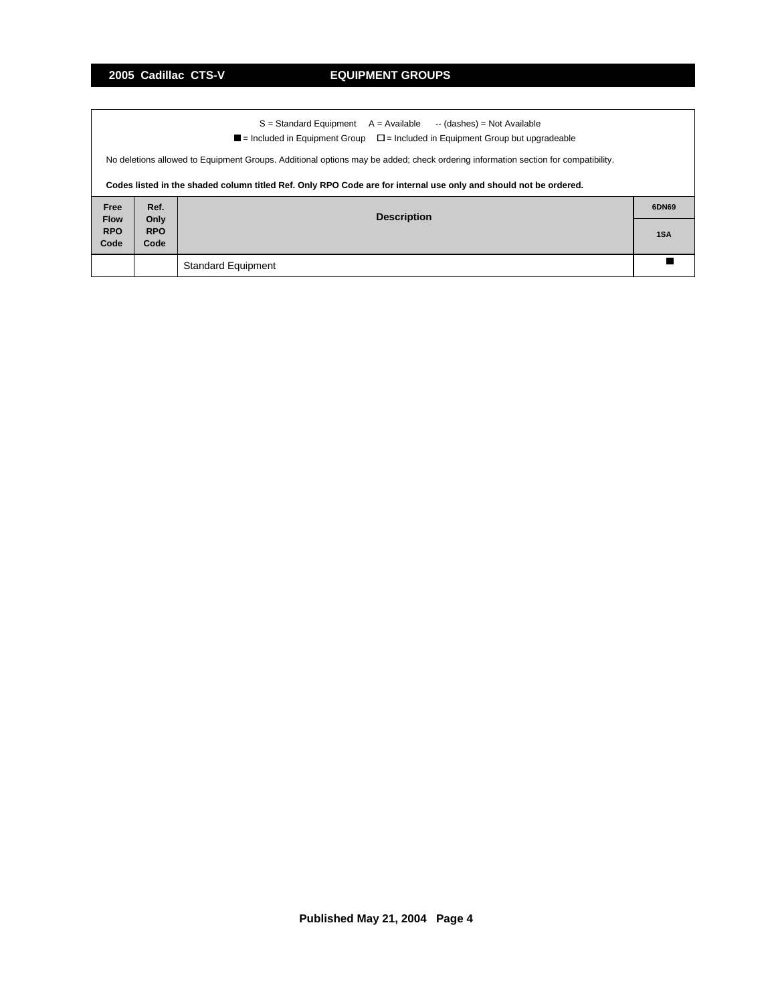|                                                                                                                                  |                                                                                                      | S = Standard Equipment<br>A = Available<br>-- (dashes) = Not Available                                           |       |  |  |  |  |  |  |
|----------------------------------------------------------------------------------------------------------------------------------|------------------------------------------------------------------------------------------------------|------------------------------------------------------------------------------------------------------------------|-------|--|--|--|--|--|--|
|                                                                                                                                  | $\blacksquare$ = Included in Equipment Group $\square$ = Included in Equipment Group but upgradeable |                                                                                                                  |       |  |  |  |  |  |  |
| No deletions allowed to Equipment Groups. Additional options may be added; check ordering information section for compatibility. |                                                                                                      |                                                                                                                  |       |  |  |  |  |  |  |
|                                                                                                                                  |                                                                                                      | Codes listed in the shaded column titled Ref. Only RPO Code are for internal use only and should not be ordered. |       |  |  |  |  |  |  |
| Free                                                                                                                             | Ref.                                                                                                 |                                                                                                                  | 6DN69 |  |  |  |  |  |  |
| <b>Flow</b>                                                                                                                      | Only                                                                                                 | <b>Description</b>                                                                                               |       |  |  |  |  |  |  |
| <b>RPO</b><br>Code                                                                                                               | <b>RPO</b><br>Code                                                                                   |                                                                                                                  | 1SA   |  |  |  |  |  |  |
|                                                                                                                                  |                                                                                                      |                                                                                                                  |       |  |  |  |  |  |  |
|                                                                                                                                  |                                                                                                      |                                                                                                                  |       |  |  |  |  |  |  |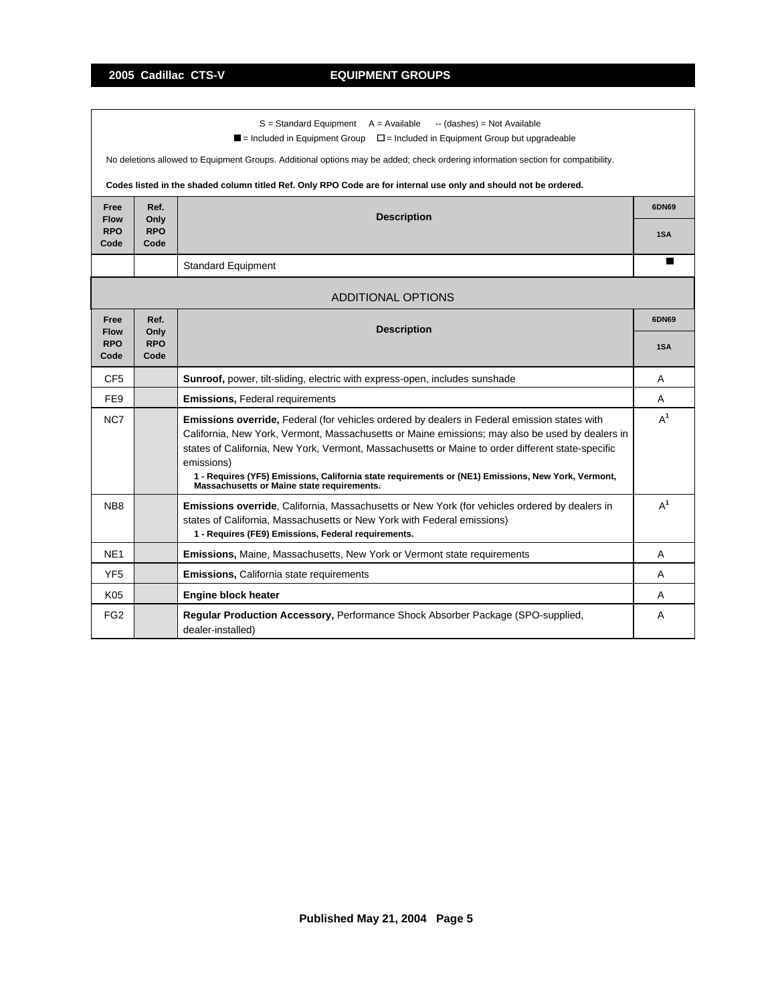- I

٦

|                           |                    | $S =$ Standard Equipment $A =$ Available<br>-- (dashes) = Not Available<br>$\blacksquare$ = Included in Equipment Group<br>$\Box$ = Included in Equipment Group but upgradeable |       |  |
|---------------------------|--------------------|---------------------------------------------------------------------------------------------------------------------------------------------------------------------------------|-------|--|
|                           |                    |                                                                                                                                                                                 |       |  |
|                           |                    | No deletions allowed to Equipment Groups. Additional options may be added; check ordering information section for compatibility.                                                |       |  |
|                           |                    | Codes listed in the shaded column titled Ref. Only RPO Code are for internal use only and should not be ordered.                                                                |       |  |
| Free                      | Ref.               | <b>Description</b>                                                                                                                                                              | 6DN69 |  |
| <b>Flow</b><br><b>RPO</b> | Only<br><b>RPO</b> |                                                                                                                                                                                 | 1SA   |  |
| Code                      | Code               |                                                                                                                                                                                 |       |  |
|                           |                    | <b>Standard Equipment</b>                                                                                                                                                       | П     |  |
|                           |                    |                                                                                                                                                                                 |       |  |
|                           |                    | <b>ADDITIONAL OPTIONS</b>                                                                                                                                                       |       |  |
| Free                      | Ref.               | <b>Description</b>                                                                                                                                                              | 6DN69 |  |
| <b>Flow</b><br><b>RPO</b> | Only<br><b>RPO</b> |                                                                                                                                                                                 |       |  |
| Code                      | Code               |                                                                                                                                                                                 | 1SA   |  |
| CF <sub>5</sub>           |                    | Sunroof, power, tilt-sliding, electric with express-open, includes sunshade                                                                                                     | A     |  |
| FE9                       |                    | Emissions, Federal requirements                                                                                                                                                 | Α     |  |
| NC7                       |                    | Emissions override, Federal (for vehicles ordered by dealers in Federal emission states with                                                                                    | $A^1$ |  |
|                           |                    | California, New York, Vermont, Massachusetts or Maine emissions; may also be used by dealers in                                                                                 |       |  |
|                           |                    | states of California, New York, Vermont, Massachusetts or Maine to order different state-specific<br>emissions)                                                                 |       |  |
|                           |                    | 1 - Requires (YF5) Emissions, California state requirements or (NE1) Emissions, New York, Vermont,<br>Massachusetts or Maine state requirements.                                |       |  |
| NB <sub>8</sub>           |                    | Emissions override, California, Massachusetts or New York (for vehicles ordered by dealers in                                                                                   | $A^1$ |  |
|                           |                    | states of California, Massachusetts or New York with Federal emissions)                                                                                                         |       |  |
|                           |                    | 1 - Requires (FE9) Emissions, Federal requirements.                                                                                                                             |       |  |
| NE <sub>1</sub>           |                    | Emissions, Maine, Massachusetts, New York or Vermont state requirements                                                                                                         | A     |  |
| YF <sub>5</sub>           |                    | <b>Emissions, California state requirements</b>                                                                                                                                 | A     |  |
| K05                       |                    | <b>Engine block heater</b>                                                                                                                                                      | A     |  |
| FG <sub>2</sub>           |                    | Regular Production Accessory, Performance Shock Absorber Package (SPO-supplied,<br>dealer-installed)                                                                            | A     |  |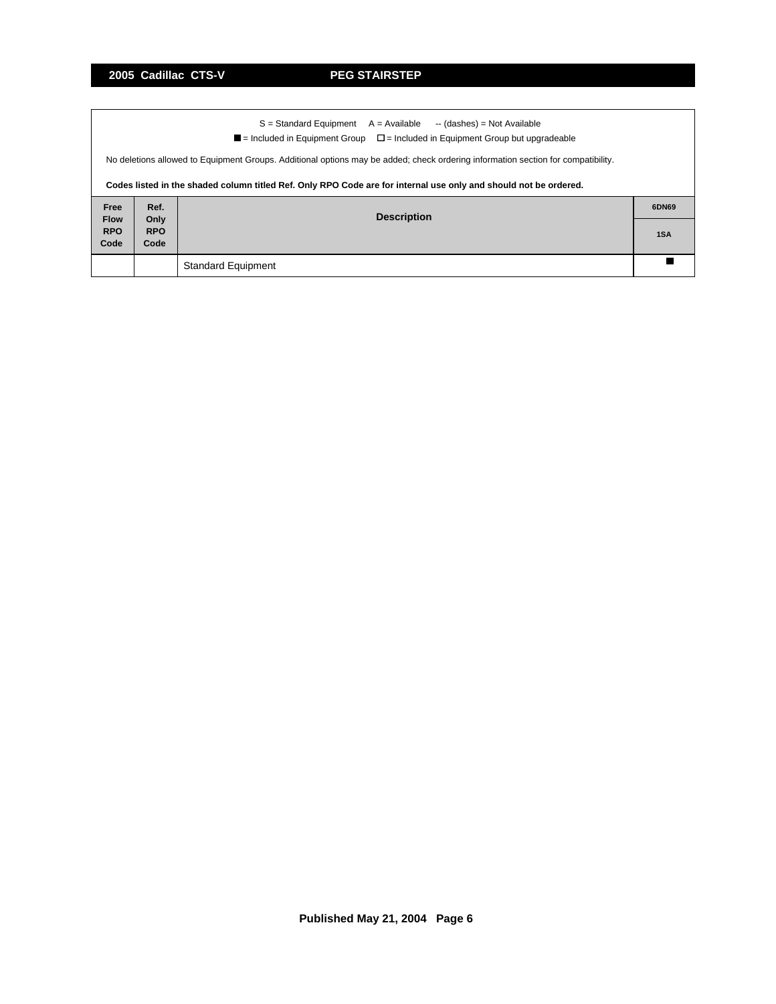ा

| $S =$ Standard Equipment $A =$ Available<br>-- (dashes) = Not Available |                                                                                                                                                                                                                                                      |                           |     |  |  |  |  |  |  |  |
|-------------------------------------------------------------------------|------------------------------------------------------------------------------------------------------------------------------------------------------------------------------------------------------------------------------------------------------|---------------------------|-----|--|--|--|--|--|--|--|
|                                                                         | $\blacksquare$ = Included in Equipment Group $\square$ = Included in Equipment Group but upgradeable                                                                                                                                                 |                           |     |  |  |  |  |  |  |  |
|                                                                         | No deletions allowed to Equipment Groups. Additional options may be added; check ordering information section for compatibility.<br>Codes listed in the shaded column titled Ref. Only RPO Code are for internal use only and should not be ordered. |                           |     |  |  |  |  |  |  |  |
| Free                                                                    | Ref.<br>6DN69                                                                                                                                                                                                                                        |                           |     |  |  |  |  |  |  |  |
| <b>Flow</b><br><b>RPO</b><br>Code                                       | Only<br><b>RPO</b><br>Code                                                                                                                                                                                                                           | <b>Description</b>        | 1SA |  |  |  |  |  |  |  |
|                                                                         |                                                                                                                                                                                                                                                      | <b>Standard Equipment</b> |     |  |  |  |  |  |  |  |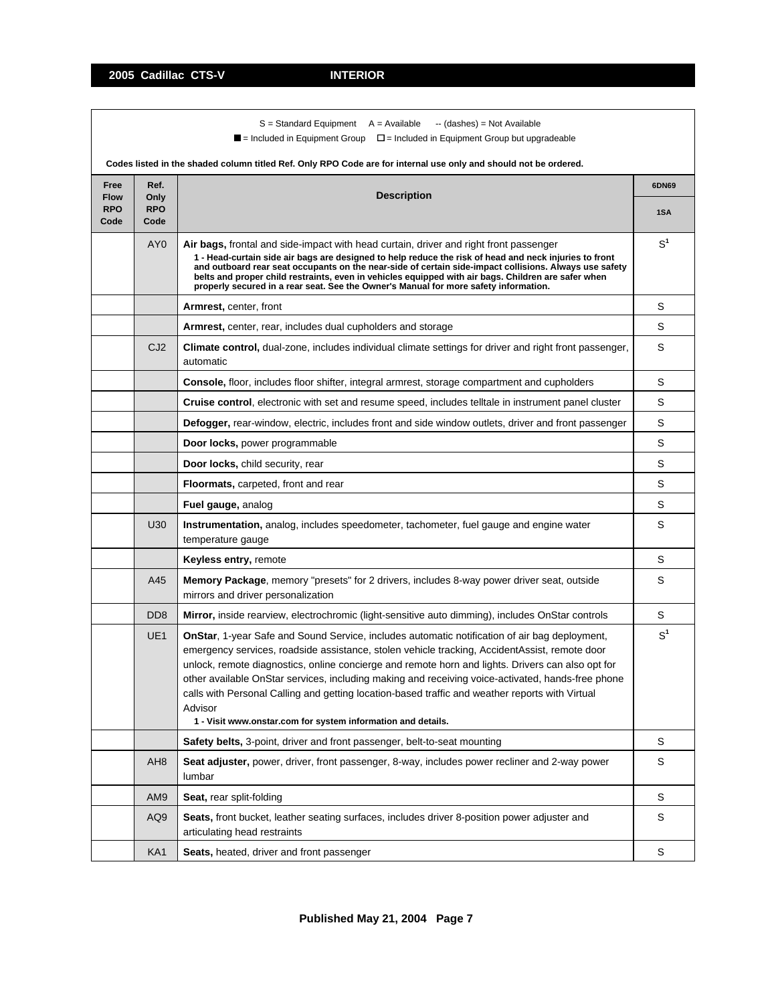|                                   |                            | $S =$ Standard Equipment $A =$ Available<br>-- (dashes) = Not Available<br>$\blacksquare$ = Included in Equipment Group<br>$\square$ = Included in Equipment Group but upgradeable<br>Codes listed in the shaded column titled Ref. Only RPO Code are for internal use only and should not be ordered.                                                                                                                                                                                                                                                                                         |                |
|-----------------------------------|----------------------------|------------------------------------------------------------------------------------------------------------------------------------------------------------------------------------------------------------------------------------------------------------------------------------------------------------------------------------------------------------------------------------------------------------------------------------------------------------------------------------------------------------------------------------------------------------------------------------------------|----------------|
| Free                              | Ref.                       |                                                                                                                                                                                                                                                                                                                                                                                                                                                                                                                                                                                                | 6DN69          |
| <b>Flow</b><br><b>RPO</b><br>Code | Only<br><b>RPO</b><br>Code | <b>Description</b>                                                                                                                                                                                                                                                                                                                                                                                                                                                                                                                                                                             | 1SA            |
|                                   | AY <sub>0</sub>            | Air bags, frontal and side-impact with head curtain, driver and right front passenger<br>1 - Head-curtain side air bags are designed to help reduce the risk of head and neck injuries to front<br>and outboard rear seat occupants on the near-side of certain side-impact collisions. Always use safety<br>belts and proper child restraints, even in vehicles equipped with air bags. Children are safer when<br>properly secured in a rear seat. See the Owner's Manual for more safety information.                                                                                       | $S^1$          |
|                                   |                            | <b>Armrest, center, front</b>                                                                                                                                                                                                                                                                                                                                                                                                                                                                                                                                                                  | S              |
|                                   |                            | <b>Armrest,</b> center, rear, includes dual cupholders and storage                                                                                                                                                                                                                                                                                                                                                                                                                                                                                                                             | S              |
|                                   | CJ <sub>2</sub>            | Climate control, dual-zone, includes individual climate settings for driver and right front passenger,<br>automatic                                                                                                                                                                                                                                                                                                                                                                                                                                                                            | S              |
|                                   |                            | <b>Console, floor, includes floor shifter, integral armrest, storage compartment and cupholders</b>                                                                                                                                                                                                                                                                                                                                                                                                                                                                                            | S              |
|                                   |                            | Cruise control, electronic with set and resume speed, includes telltale in instrument panel cluster                                                                                                                                                                                                                                                                                                                                                                                                                                                                                            | S              |
|                                   |                            | Defogger, rear-window, electric, includes front and side window outlets, driver and front passenger                                                                                                                                                                                                                                                                                                                                                                                                                                                                                            | S              |
|                                   |                            | Door locks, power programmable                                                                                                                                                                                                                                                                                                                                                                                                                                                                                                                                                                 | S              |
|                                   |                            | Door locks, child security, rear                                                                                                                                                                                                                                                                                                                                                                                                                                                                                                                                                               | S              |
|                                   |                            | <b>Floormats, carpeted, front and rear</b>                                                                                                                                                                                                                                                                                                                                                                                                                                                                                                                                                     | S              |
|                                   |                            | Fuel gauge, analog                                                                                                                                                                                                                                                                                                                                                                                                                                                                                                                                                                             | S              |
|                                   | U30                        | <b>Instrumentation,</b> analog, includes speedometer, tachometer, fuel gauge and engine water<br>temperature gauge                                                                                                                                                                                                                                                                                                                                                                                                                                                                             | S              |
|                                   |                            | Keyless entry, remote                                                                                                                                                                                                                                                                                                                                                                                                                                                                                                                                                                          | S              |
|                                   | A45                        | Memory Package, memory "presets" for 2 drivers, includes 8-way power driver seat, outside<br>mirrors and driver personalization                                                                                                                                                                                                                                                                                                                                                                                                                                                                | S              |
|                                   | D <sub>D</sub> 8           | Mirror, inside rearview, electrochromic (light-sensitive auto dimming), includes OnStar controls                                                                                                                                                                                                                                                                                                                                                                                                                                                                                               | S              |
|                                   | UE <sub>1</sub>            | <b>OnStar</b> , 1-year Safe and Sound Service, includes automatic notification of air bag deployment,<br>emergency services, roadside assistance, stolen vehicle tracking, AccidentAssist, remote door<br>unlock, remote diagnostics, online concierge and remote horn and lights. Drivers can also opt for<br>other available OnStar services, including making and receiving voice-activated, hands-free phone<br>calls with Personal Calling and getting location-based traffic and weather reports with Virtual<br>Advisor<br>1 - Visit www.onstar.com for system information and details. | S <sup>1</sup> |
|                                   |                            | <b>Safety belts,</b> 3-point, driver and front passenger, belt-to-seat mounting                                                                                                                                                                                                                                                                                                                                                                                                                                                                                                                | S              |
|                                   | AH8                        | <b>Seat adjuster,</b> power, driver, front passenger, 8-way, includes power recliner and 2-way power<br>lumbar                                                                                                                                                                                                                                                                                                                                                                                                                                                                                 | S              |
|                                   | AM9                        | Seat, rear split-folding                                                                                                                                                                                                                                                                                                                                                                                                                                                                                                                                                                       | S              |
|                                   | AQ9                        | Seats, front bucket, leather seating surfaces, includes driver 8-position power adjuster and<br>articulating head restraints                                                                                                                                                                                                                                                                                                                                                                                                                                                                   | S              |
|                                   | KA1                        | Seats, heated, driver and front passenger                                                                                                                                                                                                                                                                                                                                                                                                                                                                                                                                                      | $\mathbb S$    |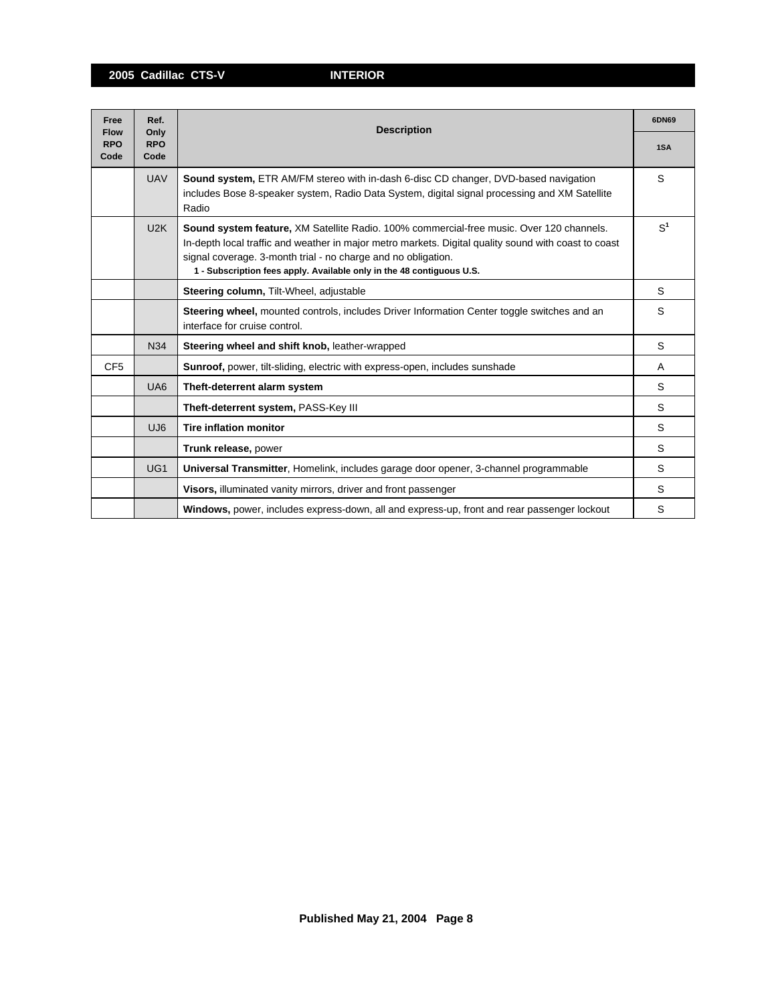**2005 Cadillac CTS-V INTERIOR**

| Free<br><b>Flow</b> | Ref.<br>Only       | <b>Description</b>                                                                                                                                                                                                                                                                                                                         | 6DN69          |
|---------------------|--------------------|--------------------------------------------------------------------------------------------------------------------------------------------------------------------------------------------------------------------------------------------------------------------------------------------------------------------------------------------|----------------|
| <b>RPO</b><br>Code  | <b>RPO</b><br>Code |                                                                                                                                                                                                                                                                                                                                            | 1SA            |
|                     | <b>UAV</b>         | <b>Sound system, ETR AM/FM stereo with in-dash 6-disc CD changer, DVD-based navigation</b><br>includes Bose 8-speaker system, Radio Data System, digital signal processing and XM Satellite<br>Radio                                                                                                                                       | S              |
|                     | U2K                | Sound system feature, XM Satellite Radio. 100% commercial-free music. Over 120 channels.<br>In-depth local traffic and weather in major metro markets. Digital quality sound with coast to coast<br>signal coverage. 3-month trial - no charge and no obligation.<br>1 - Subscription fees apply. Available only in the 48 contiguous U.S. | S <sup>1</sup> |
|                     |                    | Steering column, Tilt-Wheel, adjustable                                                                                                                                                                                                                                                                                                    | S              |
|                     |                    | Steering wheel, mounted controls, includes Driver Information Center toggle switches and an<br>interface for cruise control.                                                                                                                                                                                                               | S              |
|                     | N34                | Steering wheel and shift knob, leather-wrapped                                                                                                                                                                                                                                                                                             | S              |
| CF <sub>5</sub>     |                    | Sunroof, power, tilt-sliding, electric with express-open, includes sunshade                                                                                                                                                                                                                                                                | A              |
|                     | UA <sub>6</sub>    | Theft-deterrent alarm system                                                                                                                                                                                                                                                                                                               | S              |
|                     |                    | Theft-deterrent system, PASS-Key III                                                                                                                                                                                                                                                                                                       | S              |
|                     | UJ <sub>6</sub>    | <b>Tire inflation monitor</b>                                                                                                                                                                                                                                                                                                              | S              |
|                     |                    | Trunk release, power                                                                                                                                                                                                                                                                                                                       | S              |
|                     | UG <sub>1</sub>    | Universal Transmitter, Homelink, includes garage door opener, 3-channel programmable                                                                                                                                                                                                                                                       | S              |
|                     |                    | Visors, illuminated vanity mirrors, driver and front passenger                                                                                                                                                                                                                                                                             | S              |
|                     |                    | Windows, power, includes express-down, all and express-up, front and rear passenger lockout                                                                                                                                                                                                                                                | S              |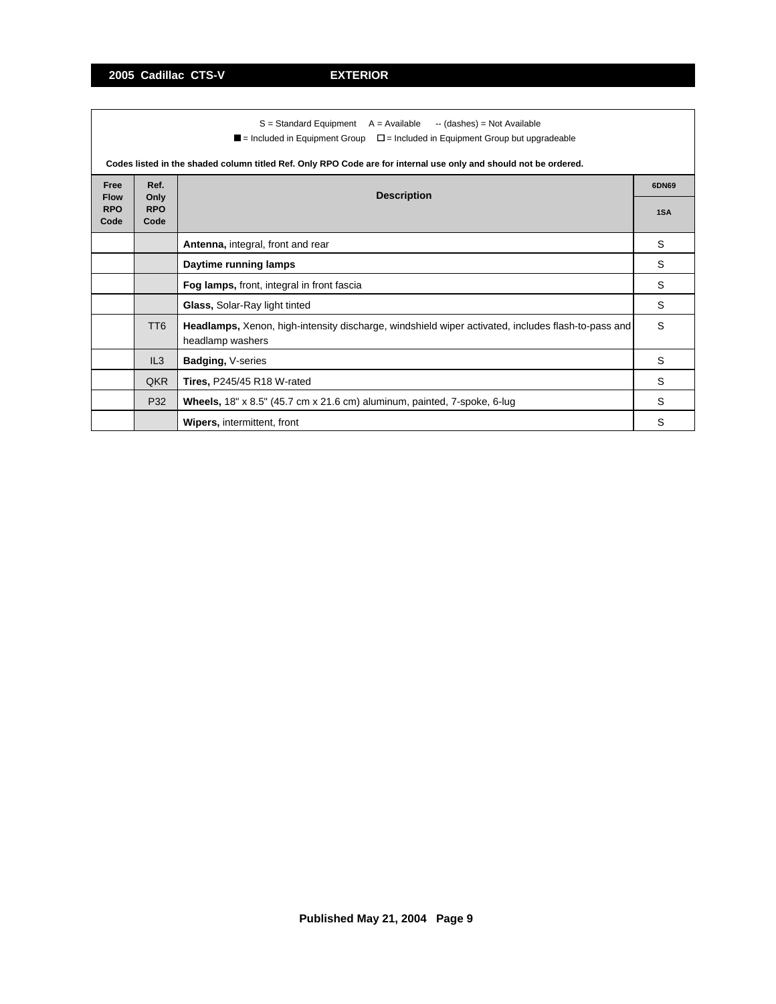|                     | $S =$ Standard Equipment $A =$ Available $\rightarrow$ (dashes) = Not Available<br>$\blacksquare$ = Included in Equipment Group $\square$ = Included in Equipment Group but upgradeable |                                                                                                                        |     |  |  |  |  |  |
|---------------------|-----------------------------------------------------------------------------------------------------------------------------------------------------------------------------------------|------------------------------------------------------------------------------------------------------------------------|-----|--|--|--|--|--|
|                     |                                                                                                                                                                                         | Codes listed in the shaded column titled Ref. Only RPO Code are for internal use only and should not be ordered.       |     |  |  |  |  |  |
| Free<br><b>Flow</b> | Ref.<br><b>Description</b><br>Only                                                                                                                                                      |                                                                                                                        |     |  |  |  |  |  |
| <b>RPO</b><br>Code  | <b>RPO</b><br>Code                                                                                                                                                                      |                                                                                                                        | 1SA |  |  |  |  |  |
|                     |                                                                                                                                                                                         | Antenna, integral, front and rear                                                                                      | S   |  |  |  |  |  |
|                     |                                                                                                                                                                                         | Daytime running lamps                                                                                                  | S   |  |  |  |  |  |
|                     |                                                                                                                                                                                         | Fog lamps, front, integral in front fascia                                                                             | S   |  |  |  |  |  |
|                     |                                                                                                                                                                                         | Glass, Solar-Ray light tinted                                                                                          | S   |  |  |  |  |  |
|                     | TT <sub>6</sub>                                                                                                                                                                         | Headlamps, Xenon, high-intensity discharge, windshield wiper activated, includes flash-to-pass and<br>headlamp washers | S   |  |  |  |  |  |
|                     | IL3                                                                                                                                                                                     | Badging, V-series                                                                                                      | S   |  |  |  |  |  |
|                     | <b>QKR</b>                                                                                                                                                                              | <b>Tires, P245/45 R18 W-rated</b>                                                                                      | S   |  |  |  |  |  |
|                     | P32                                                                                                                                                                                     | Wheels, 18" x 8.5" (45.7 cm x 21.6 cm) aluminum, painted, 7-spoke, 6-lug                                               | S   |  |  |  |  |  |
|                     |                                                                                                                                                                                         | <b>Wipers, intermittent, front</b>                                                                                     | S   |  |  |  |  |  |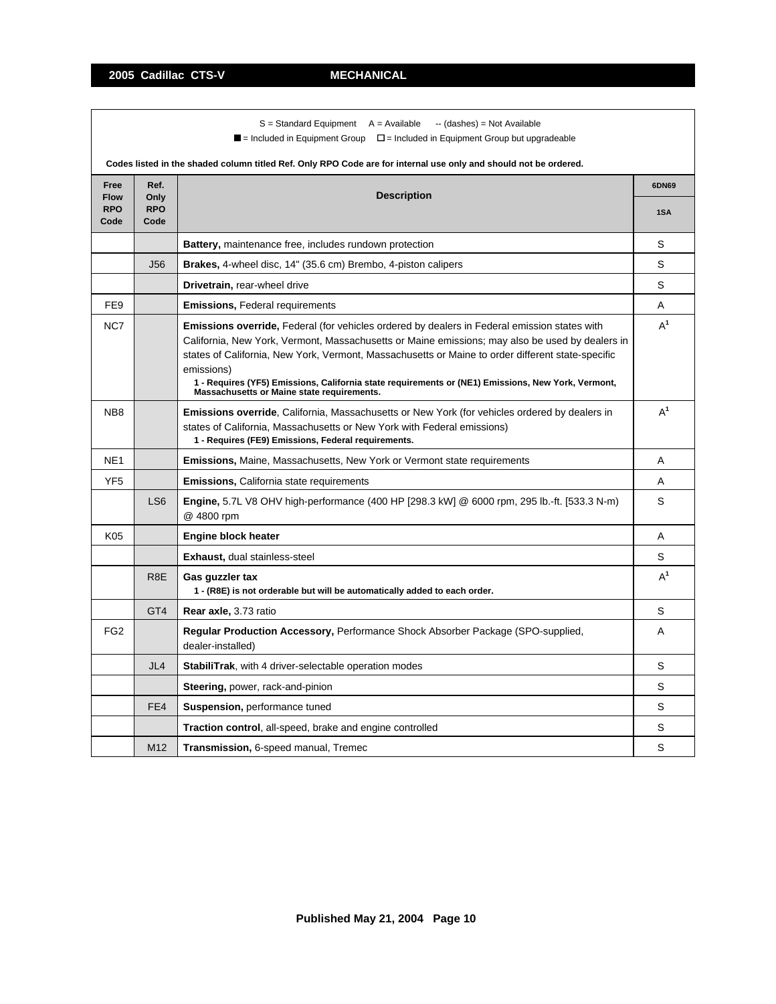**2005 Cadillac CTS-V MECHANICAL**

|                                   |                            | $S =$ Standard Equipment $A =$ Available<br>-- (dashes) = Not Available<br>$\blacksquare$ = Included in Equipment Group<br>$\Box$ = Included in Equipment Group but upgradeable<br>Codes listed in the shaded column titled Ref. Only RPO Code are for internal use only and should not be ordered.                                                                                                                                                                           |              |  |  |  |  |  |
|-----------------------------------|----------------------------|-------------------------------------------------------------------------------------------------------------------------------------------------------------------------------------------------------------------------------------------------------------------------------------------------------------------------------------------------------------------------------------------------------------------------------------------------------------------------------|--------------|--|--|--|--|--|
| Free<br><b>Flow</b><br><b>RPO</b> | Ref.<br>Only<br><b>RPO</b> | <b>Description</b>                                                                                                                                                                                                                                                                                                                                                                                                                                                            | 6DN69<br>1SA |  |  |  |  |  |
| Code                              | Code                       |                                                                                                                                                                                                                                                                                                                                                                                                                                                                               |              |  |  |  |  |  |
|                                   |                            | <b>Battery, maintenance free, includes rundown protection</b>                                                                                                                                                                                                                                                                                                                                                                                                                 | S            |  |  |  |  |  |
|                                   | <b>J56</b>                 | Brakes, 4-wheel disc, 14" (35.6 cm) Brembo, 4-piston calipers                                                                                                                                                                                                                                                                                                                                                                                                                 | S            |  |  |  |  |  |
|                                   |                            | Drivetrain, rear-wheel drive                                                                                                                                                                                                                                                                                                                                                                                                                                                  | S            |  |  |  |  |  |
| FE <sub>9</sub>                   |                            | <b>Emissions, Federal requirements</b>                                                                                                                                                                                                                                                                                                                                                                                                                                        | A            |  |  |  |  |  |
| NC7                               |                            | <b>Emissions override, Federal (for vehicles ordered by dealers in Federal emission states with</b><br>California, New York, Vermont, Massachusetts or Maine emissions; may also be used by dealers in<br>states of California, New York, Vermont, Massachusetts or Maine to order different state-specific<br>emissions)<br>1 - Requires (YF5) Emissions, California state requirements or (NE1) Emissions, New York, Vermont,<br>Massachusetts or Maine state requirements. | $A^1$        |  |  |  |  |  |
| NB <sub>8</sub>                   |                            | Emissions override, California, Massachusetts or New York (for vehicles ordered by dealers in<br>states of California, Massachusetts or New York with Federal emissions)<br>1 - Requires (FE9) Emissions, Federal requirements.                                                                                                                                                                                                                                               | $A^1$        |  |  |  |  |  |
| NE <sub>1</sub>                   |                            | <b>Emissions, Maine, Massachusetts, New York or Vermont state requirements</b>                                                                                                                                                                                                                                                                                                                                                                                                | Α            |  |  |  |  |  |
| YF <sub>5</sub>                   |                            | <b>Emissions, California state requirements</b>                                                                                                                                                                                                                                                                                                                                                                                                                               | Α            |  |  |  |  |  |
|                                   | LS <sub>6</sub>            | Engine, 5.7L V8 OHV high-performance (400 HP [298.3 kW] @ 6000 rpm, 295 lb.-ft. [533.3 N-m)<br>@ 4800 rpm                                                                                                                                                                                                                                                                                                                                                                     | S            |  |  |  |  |  |
| K05                               |                            | <b>Engine block heater</b>                                                                                                                                                                                                                                                                                                                                                                                                                                                    | A            |  |  |  |  |  |
|                                   |                            | <b>Exhaust, dual stainless-steel</b>                                                                                                                                                                                                                                                                                                                                                                                                                                          | S            |  |  |  |  |  |
|                                   | R <sub>8</sub> E           | Gas guzzler tax<br>1 - (R8E) is not orderable but will be automatically added to each order.                                                                                                                                                                                                                                                                                                                                                                                  | $A^1$        |  |  |  |  |  |
|                                   | GT4                        | Rear axle, 3.73 ratio                                                                                                                                                                                                                                                                                                                                                                                                                                                         | S            |  |  |  |  |  |
| FG <sub>2</sub>                   |                            | Regular Production Accessory, Performance Shock Absorber Package (SPO-supplied,<br>dealer-installed)                                                                                                                                                                                                                                                                                                                                                                          | A            |  |  |  |  |  |
|                                   | JL <sub>4</sub>            | <b>StabiliTrak, with 4 driver-selectable operation modes</b>                                                                                                                                                                                                                                                                                                                                                                                                                  | S            |  |  |  |  |  |
|                                   |                            | Steering, power, rack-and-pinion                                                                                                                                                                                                                                                                                                                                                                                                                                              | S            |  |  |  |  |  |
|                                   | FE4                        | Suspension, performance tuned                                                                                                                                                                                                                                                                                                                                                                                                                                                 | S            |  |  |  |  |  |
|                                   |                            | <b>Traction control, all-speed, brake and engine controlled</b>                                                                                                                                                                                                                                                                                                                                                                                                               | S            |  |  |  |  |  |
|                                   | M <sub>12</sub>            | Transmission, 6-speed manual, Tremec                                                                                                                                                                                                                                                                                                                                                                                                                                          | S            |  |  |  |  |  |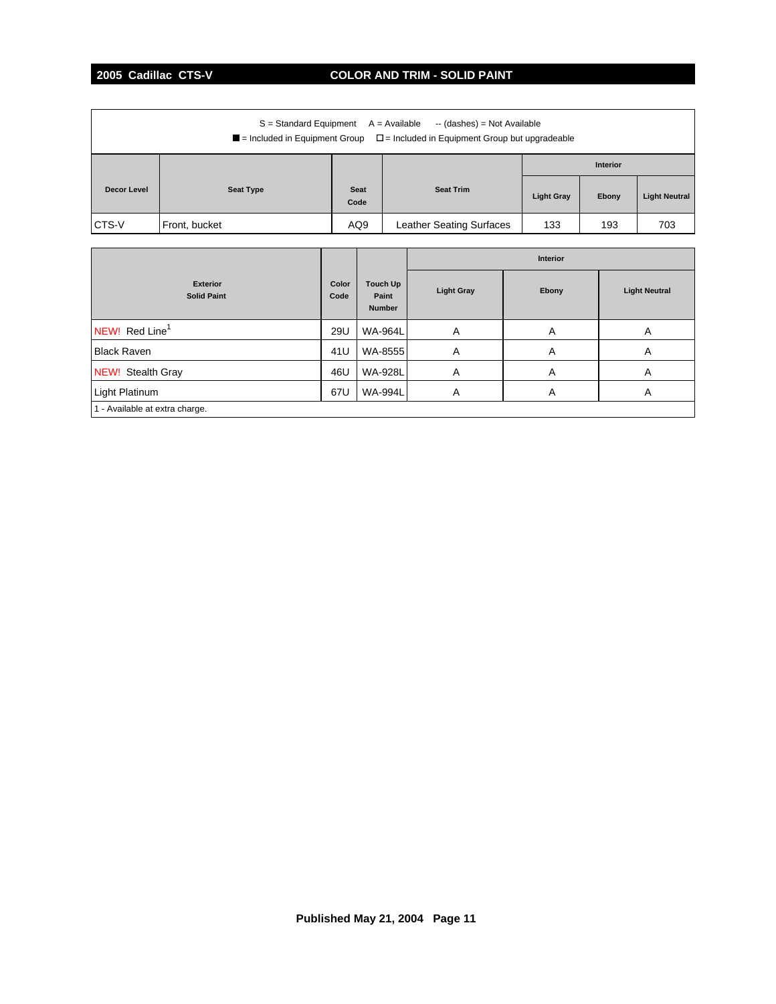# **2005 Cadillac CTS-V COLOR AND TRIM - SOLID PAINT**

| $S =$ Standard Equipment $A =$ Available<br>-- (dashes) = Not Available<br>$\blacksquare$ = Included in Equipment Group $\square$ = Included in Equipment Group but upgradeable |                  |              |                                 |                   |       |                      |  |  |
|---------------------------------------------------------------------------------------------------------------------------------------------------------------------------------|------------------|--------------|---------------------------------|-------------------|-------|----------------------|--|--|
|                                                                                                                                                                                 |                  |              |                                 | <b>Interior</b>   |       |                      |  |  |
| Decor Level                                                                                                                                                                     | <b>Seat Type</b> | Seat<br>Code | <b>Seat Trim</b>                | <b>Light Gray</b> | Ebony | <b>Light Neutral</b> |  |  |
| CTS V                                                                                                                                                                           | Front, bucket    | AQ9          | <b>Leather Seating Surfaces</b> | 133               | 193   | 703                  |  |  |

|                                       |               |                                    | <b>Interior</b>   |       |                      |
|---------------------------------------|---------------|------------------------------------|-------------------|-------|----------------------|
| <b>Exterior</b><br><b>Solid Paint</b> | Color<br>Code | Touch Up<br>Paint<br><b>Number</b> | <b>Light Gray</b> | Ebony | <b>Light Neutral</b> |
| NEW! Red Line <sup>1</sup>            | 29U           | <b>WA-964L</b>                     | A                 | A     | A                    |
| <b>Black Raven</b>                    | 41U           | WA-8555                            | Α                 | A     | A                    |
| NEW! Stealth Gray                     | 46U           | <b>WA-928L</b>                     | Α                 | Α     | A                    |
| Light Platinum                        | 67U           | <b>WA-994L</b>                     | Α                 | A     | A                    |
| 1 - Available at extra charge.        |               |                                    |                   |       |                      |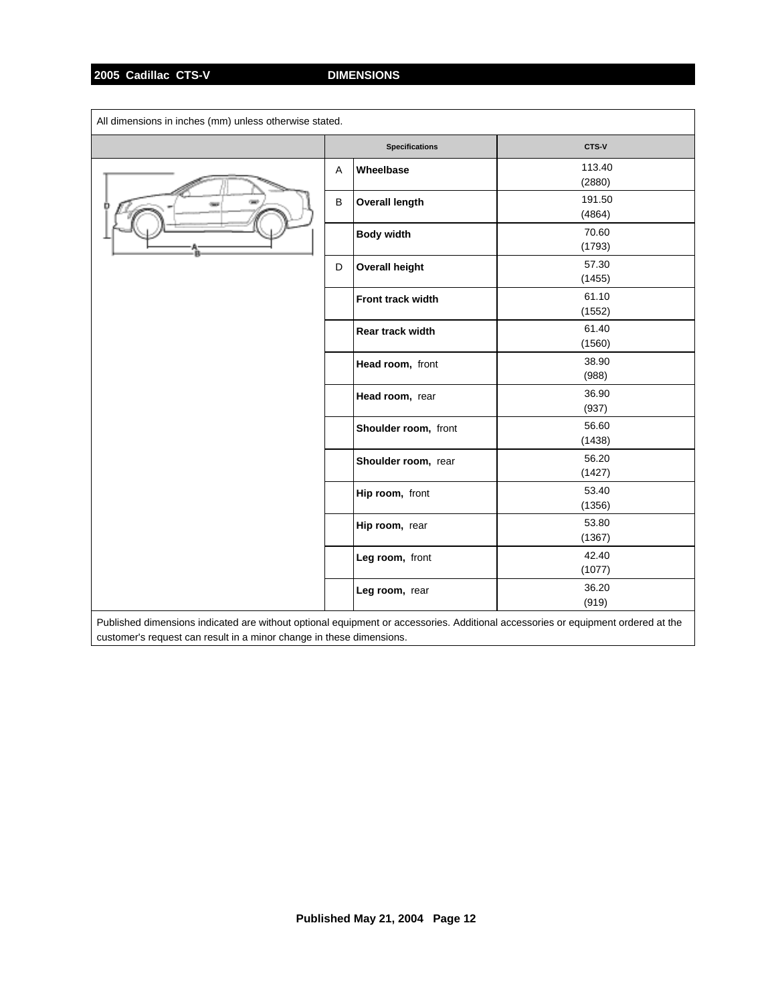| All dimensions in inches (mm) unless otherwise stated.                                                                           |   |                       |                  |  |
|----------------------------------------------------------------------------------------------------------------------------------|---|-----------------------|------------------|--|
|                                                                                                                                  |   | <b>Specifications</b> | CTS-V            |  |
|                                                                                                                                  | A | Wheelbase             | 113.40<br>(2880) |  |
|                                                                                                                                  | B | <b>Overall length</b> | 191.50<br>(4864) |  |
|                                                                                                                                  |   | <b>Body width</b>     | 70.60<br>(1793)  |  |
|                                                                                                                                  | D | <b>Overall height</b> | 57.30<br>(1455)  |  |
|                                                                                                                                  |   | Front track width     | 61.10<br>(1552)  |  |
|                                                                                                                                  |   | Rear track width      | 61.40<br>(1560)  |  |
|                                                                                                                                  |   | Head room, front      | 38.90<br>(988)   |  |
|                                                                                                                                  |   | Head room, rear       | 36.90<br>(937)   |  |
|                                                                                                                                  |   | Shoulder room, front  | 56.60<br>(1438)  |  |
|                                                                                                                                  |   | Shoulder room, rear   | 56.20<br>(1427)  |  |
|                                                                                                                                  |   | Hip room, front       | 53.40<br>(1356)  |  |
|                                                                                                                                  |   | Hip room, rear        | 53.80<br>(1367)  |  |
|                                                                                                                                  |   | Leg room, front       | 42.40<br>(1077)  |  |
|                                                                                                                                  |   | Leg room, rear        | 36.20<br>(919)   |  |
| Published dimensions indicated are without optional equipment or accessories. Additional accessories or equipment ordered at the |   |                       |                  |  |

customer's request can result in a minor change in these dimensions.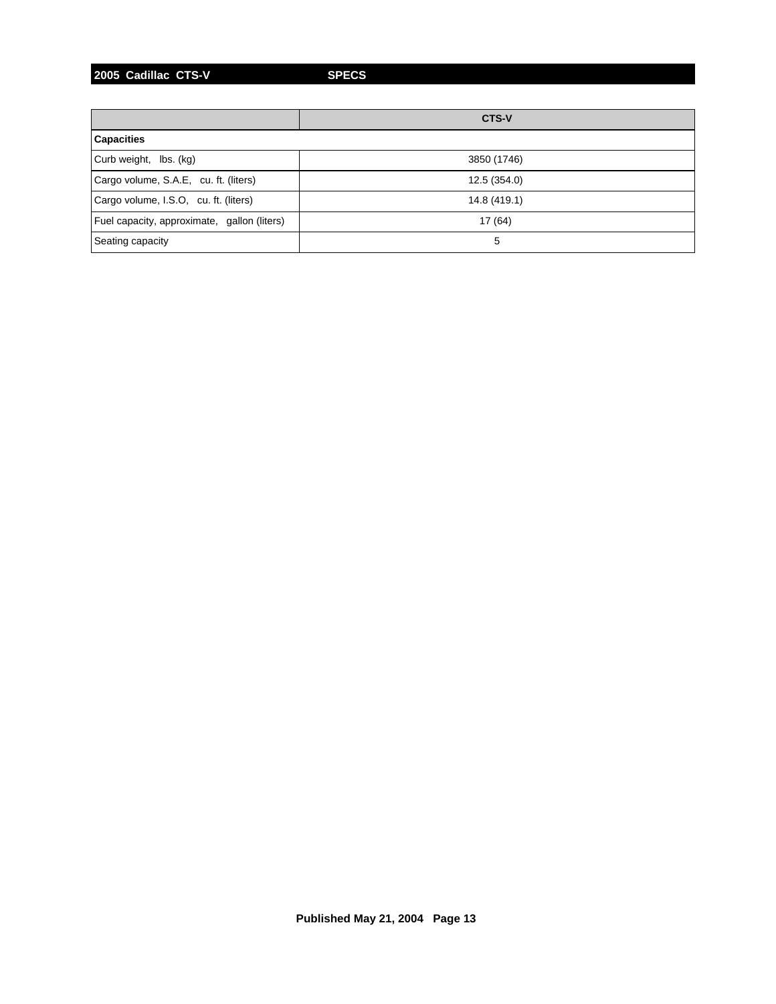**2005 Cadillac CTS-V SPECS**

|                                             | <b>CTS-V</b> |  |  |  |
|---------------------------------------------|--------------|--|--|--|
| <b>Capacities</b>                           |              |  |  |  |
| Curb weight, lbs. (kg)                      | 3850 (1746)  |  |  |  |
| Cargo volume, S.A.E, cu. ft. (liters)       | 12.5 (354.0) |  |  |  |
| Cargo volume, I.S.O, cu. ft. (liters)       | 14.8 (419.1) |  |  |  |
| Fuel capacity, approximate, gallon (liters) | 17 (64)      |  |  |  |
| Seating capacity                            | 5            |  |  |  |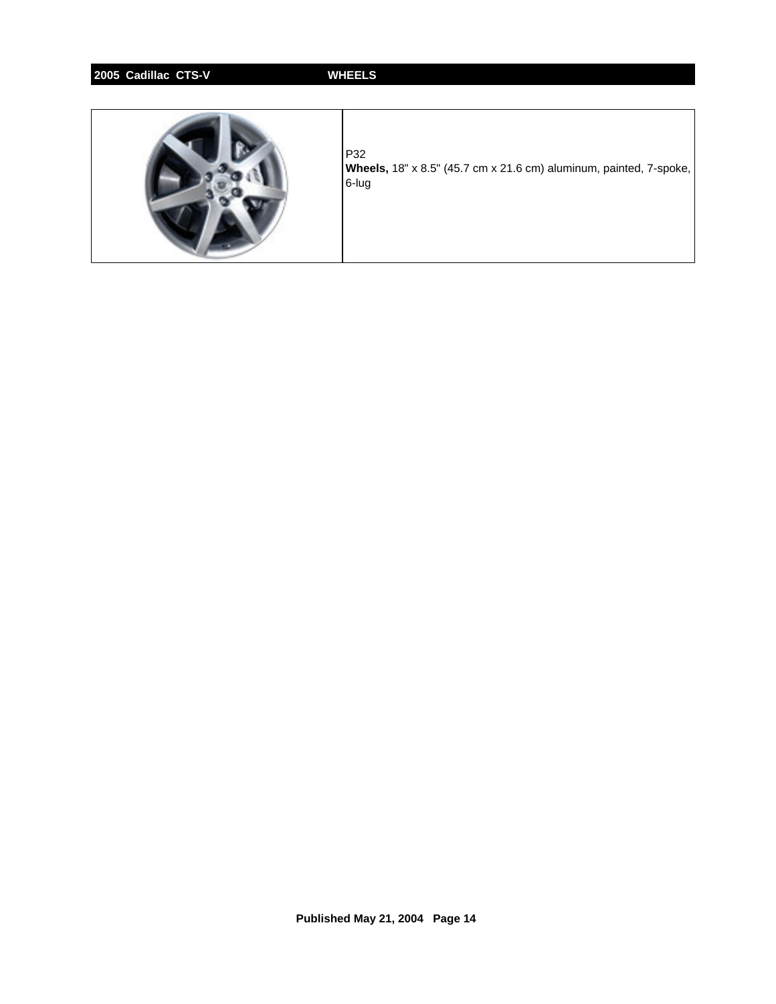# **2005 Cadillac CTS-V WHEELS**



P32 **Wheels,** 18" x 8.5" (45.7 cm x 21.6 cm) aluminum, painted, 7-spoke, 6-lug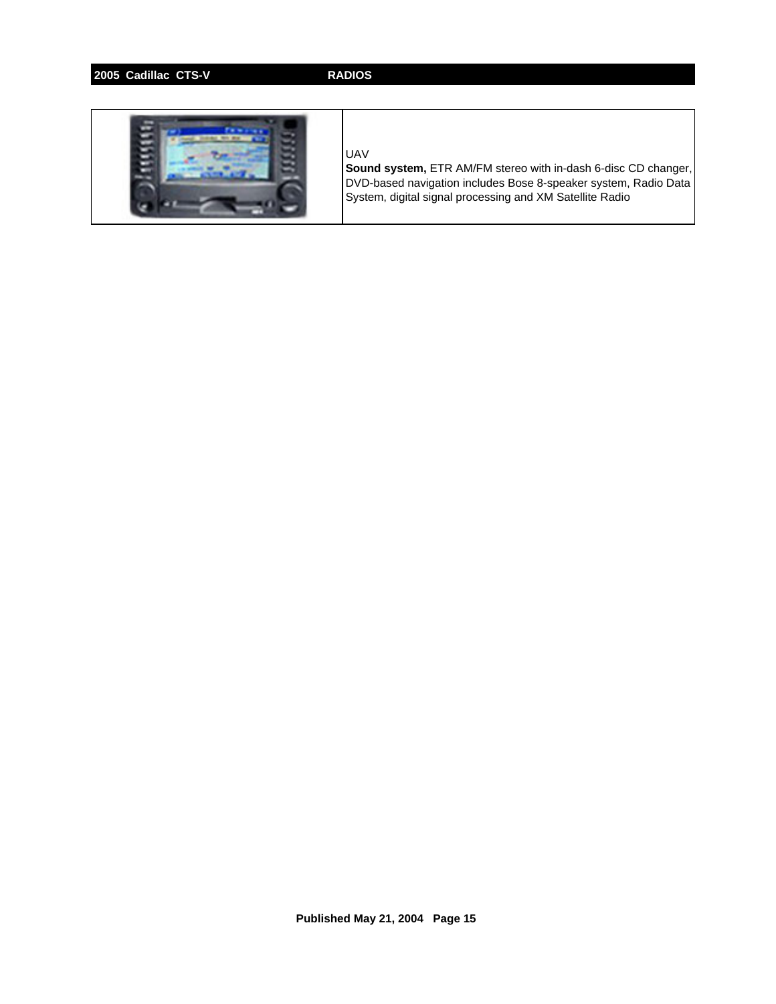# **2005 Cadillac CTS-V RADIOS**



### UAV

**Sound system,** ETR AM/FM stereo with in-dash 6-disc CD changer, DVD-based navigation includes Bose 8-speaker system, Radio Data System, digital signal processing and XM Satellite Radio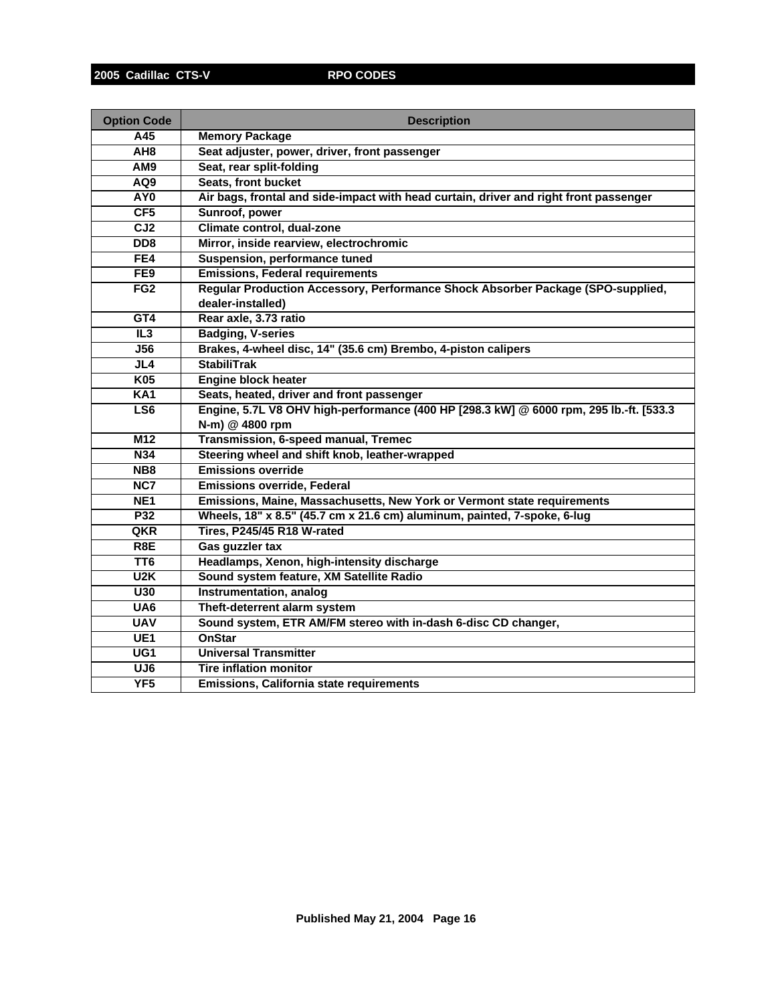| <b>Option Code</b> | <b>Description</b>                                                                     |
|--------------------|----------------------------------------------------------------------------------------|
| A45                | <b>Memory Package</b>                                                                  |
| AH <sub>8</sub>    | Seat adjuster, power, driver, front passenger                                          |
| AM9                | Seat, rear split-folding                                                               |
| AQ9                | Seats, front bucket                                                                    |
| AY <sub>0</sub>    | Air bags, frontal and side-impact with head curtain, driver and right front passenger  |
| CF5                | Sunroof, power                                                                         |
| CJ2                | Climate control, dual-zone                                                             |
| DD <sub>8</sub>    | Mirror, inside rearview, electrochromic                                                |
| FE4                | Suspension, performance tuned                                                          |
| FE9                | <b>Emissions, Federal requirements</b>                                                 |
| FG2                | Regular Production Accessory, Performance Shock Absorber Package (SPO-supplied,        |
|                    | dealer-installed)                                                                      |
| GT4                | Rear axle, 3.73 ratio                                                                  |
| IL3                | <b>Badging, V-series</b>                                                               |
| <b>J56</b>         | Brakes, 4-wheel disc, 14" (35.6 cm) Brembo, 4-piston calipers                          |
| JL4                | <b>StabiliTrak</b>                                                                     |
| <b>K05</b>         | <b>Engine block heater</b>                                                             |
| <b>KA1</b>         | Seats, heated, driver and front passenger                                              |
| LS6                | Engine, 5.7L V8 OHV high-performance (400 HP [298.3 kW] @ 6000 rpm, 295 lb.-ft. [533.3 |
|                    | N-m) @ 4800 rpm                                                                        |
| M <sub>12</sub>    | Transmission, 6-speed manual, Tremec                                                   |
| <b>N34</b>         | Steering wheel and shift knob, leather-wrapped                                         |
| N <sub>B8</sub>    | <b>Emissions override</b>                                                              |
| NC7                | <b>Emissions override, Federal</b>                                                     |
| NE <sub>1</sub>    | Emissions, Maine, Massachusetts, New York or Vermont state requirements                |
| P32                | Wheels, 18" x 8.5" (45.7 cm x 21.6 cm) aluminum, painted, 7-spoke, 6-lug               |
| QKR                | Tires, P245/45 R18 W-rated                                                             |
| R8E                | Gas guzzler tax                                                                        |
| TT <sub>6</sub>    | Headlamps, Xenon, high-intensity discharge                                             |
| U2K                | Sound system feature, XM Satellite Radio                                               |
| U30                | Instrumentation, analog                                                                |
| UA6                | Theft-deterrent alarm system                                                           |
| <b>UAV</b>         | Sound system, ETR AM/FM stereo with in-dash 6-disc CD changer,                         |
| UE <sub>1</sub>    | <b>OnStar</b>                                                                          |
| UG1                | <b>Universal Transmitter</b>                                                           |
| UJ <sub>6</sub>    | <b>Tire inflation monitor</b>                                                          |
| YF5                | Emissions, California state requirements                                               |